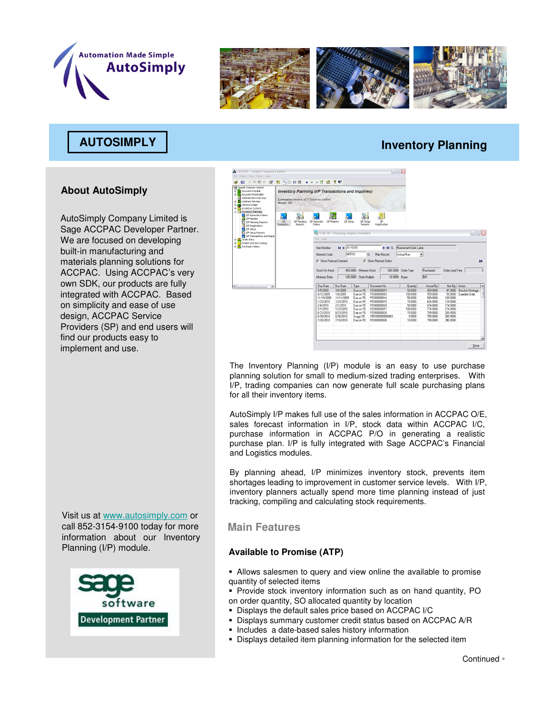



# **AUTOSIMPLY Inventory Planning**

## **About AutoSimply**

AutoSimply Company Limited is Sage ACCPAC Developer Partner. We are focused on developing built-in manufacturing and materials planning solutions for ACCPAC. Using ACCPAC's very own SDK, our products are fully integrated with ACCPAC. Based on simplicity and ease of use design, ACCPAC Service Providers (SP) and end users will find our products easy to implement and use.

Visit us at www.autosimply.com or call 852-3154-9100 today for more information about our Inventory<br>Planning (I/P) module.





The Inventory Planning (I/P) module is an easy to use purchase planning solution for small to medium-sized trading enterprises. With I/P, trading companies can now generate full scale purchasing plans for all their inventory items.

AutoSimply I/P makes full use of the sales information in ACCPAC O/E, sales forecast information in I/P, stock data within ACCPAC I/C, purchase information in ACCPAC P/O in generating a realistic purchase plan. I/P is fully integrated with Sage ACCPAC's Financial and Logistics modules.

By planning ahead, I/P minimizes inventory stock, prevents item shortages leading to improvement in customer service levels. With I/P, inventory planners actually spend more time planning instead of just tracking, compiling and calculating stock requirements.

## **Main Features**

### **Available to Promise (ATP)**

- Allows salesmen to query and view online the available to promise quantity of selected items
- Provide stock inventory information such as on hand quantity, PO on order quantity, SO allocated quantity by location
- Displays the default sales price based on ACCPAC I/C
- Displays summary customer credit status based on ACCPAC A/R
- **Includes a date-based sales history information**
- Displays detailed item planning information for the selected item

Continued ►